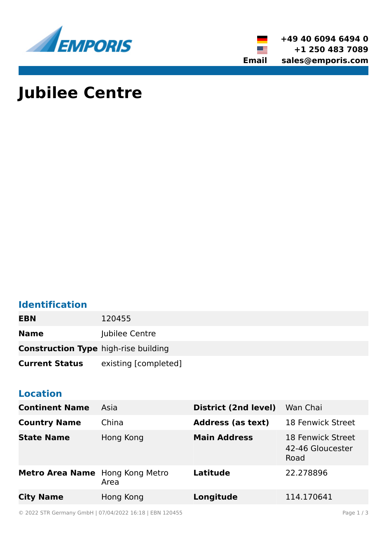



# **Jubilee Centre**

### **Identification**

| <b>EBN</b>                                  | 120455               |
|---------------------------------------------|----------------------|
| <b>Name</b>                                 | Jubilee Centre       |
| <b>Construction Type high-rise building</b> |                      |
| <b>Current Status</b>                       | existing [completed] |

#### **Location**

| <b>Continent Name</b>           | Asia      | District (2nd level)     | Wan Chai                                      |
|---------------------------------|-----------|--------------------------|-----------------------------------------------|
| <b>Country Name</b>             | China     | <b>Address (as text)</b> | 18 Fenwick Street                             |
| <b>State Name</b>               | Hong Kong | <b>Main Address</b>      | 18 Fenwick Street<br>42-46 Gloucester<br>Road |
| Metro Area Name Hong Kong Metro | Area      | Latitude                 | 22.278896                                     |
| <b>City Name</b>                | Hong Kong | Longitude                | 114.170641                                    |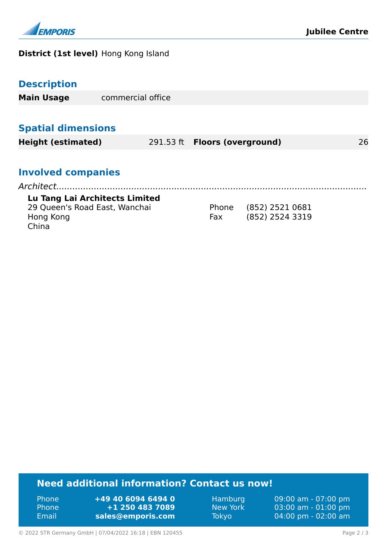

#### **District (1st level)** Hong Kong Island

|  |  | <b>Description</b> |
|--|--|--------------------|
|  |  |                    |
|  |  |                    |

| <b>Main Usage</b> | commercial office |  |
|-------------------|-------------------|--|
|-------------------|-------------------|--|

#### **Spatial dimensions**

**Height (estimated)** 291.53 ft **Floors (overground)** 26

#### **Involved companies**

#### **Lu Tang Lai Architects Limited**

| 29 Queen's Road East, Wanchai |     | Phone (852) 2521 0681 |
|-------------------------------|-----|-----------------------|
| Hong Kong                     | Fax | (852) 2524 3319       |
| China                         |     |                       |

#### **Need additional information? Contact us now!**

Phone **+49 40 6094 6494 0** Phone **+1 250 483 7089** Email **<sales@emporis.com>**

Hamburg 09:00 am - 07:00 pm New York 03:00 am - 01:00 pm Tokyo 04:00 pm - 02:00 am